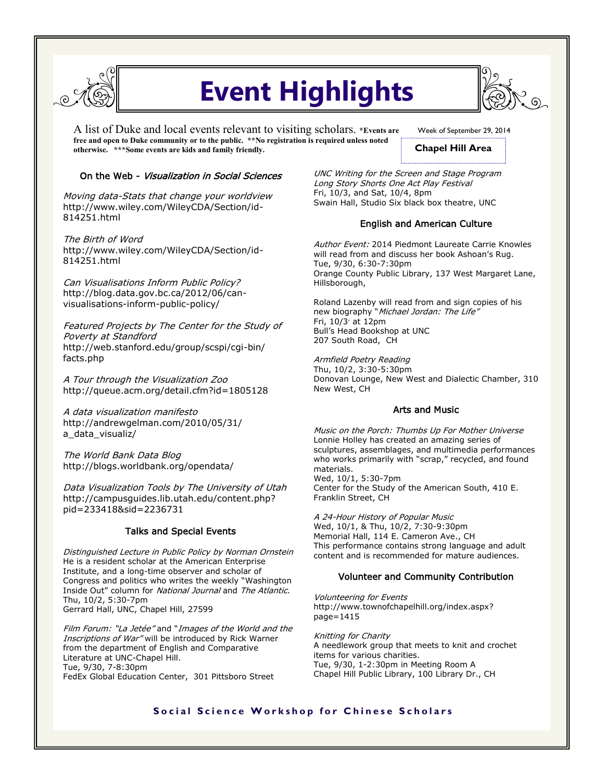

# **Event Highlights**

A list of Duke and local events relevant to visiting scholars. **\*Events are free and open to Duke community or to the public. \*\*No registration is required unless noted otherwise. \*\*\*Some events are kids and family friendly.** 

Week of September 29, 2014

# **Chapel Hill Area**

## On the Web - Visualization in Social Sciences

Moving data-Stats that change your worldview http://www.wiley.com/WileyCDA/Section/id-814251.html

The Birth of Word http://www.wiley.com/WileyCDA/Section/id-814251.html

Can Visualisations Inform Public Policy? http://blog.data.gov.bc.ca/2012/06/canvisualisations-inform-public-policy/

Featured Projects by The Center for the Study of Poverty at Standford http://web.stanford.edu/group/scspi/cgi-bin/ facts.php

A Tour through the Visualization Zoo http://queue.acm.org/detail.cfm?id=1805128

A data visualization manifesto http://andrewgelman.com/2010/05/31/ a\_data\_visualiz/

The World Bank Data Blog http://blogs.worldbank.org/opendata/

Data Visualization Tools by The University of Utah http://campusguides.lib.utah.edu/content.php? pid=233418&sid=2236731

# Talks and Special Events

Distinguished Lecture in Public Policy by Norman Ornstein He is a resident scholar at the American Enterprise Institute, and a long-time observer and scholar of Congress and politics who writes the weekly "Washington Inside Out" column for National Journal and The Atlantic. Thu, 10/2, 5:30-7pm Gerrard Hall, UNC, Chapel Hill, 27599

Film Forum: "La Jetée" and "Images of the World and the Inscriptions of War" will be introduced by Rick Warner from the department of English and Comparative Literature at UNC-Chapel Hill. Tue, 9/30, 7-8:30pm FedEx Global Education Center, 301 Pittsboro Street

UNC Writing for the Screen and Stage Program Long Story Shorts One Act Play Festival Fri, 10/3, and Sat, 10/4, 8pm Swain Hall, Studio Six black box theatre, UNC

# English and American Culture

Author Event: 2014 Piedmont Laureate Carrie Knowles will read from and discuss her book Ashoan's Rug. Tue, 9/30, 6:30-7:30pm Orange County Public Library, 137 West Margaret Lane, Hillsborough,

Roland Lazenby will read from and sign copies of his new biography "Michael Jordan: The Life" Fri,  $10/3$  at  $12$ pm Bull's Head Bookshop at UNC 207 South Road, CH

Armfield Poetry Reading Thu, 10/2, 3:30-5:30pm Donovan Lounge, New West and Dialectic Chamber, 310 New West, CH

# Arts and Music

Music on the Porch: Thumbs Up For Mother Universe Lonnie Holley has created an amazing series of sculptures, assemblages, and multimedia performances who works primarily with "scrap," recycled, and found materials. Wed, 10/1, 5:30-7pm Center for the Study of the American South, 410 E. Franklin Street, CH

A 24-Hour History of Popular Music Wed, 10/1, & Thu, 10/2, 7:30-9:30pm Memorial Hall, 114 E. Cameron Ave., CH This performance contains strong language and adult content and is recommended for mature audiences.

### Volunteer and Community Contribution

Volunteering for Events http://www.townofchapelhill.org/index.aspx? page=1415

Knitting for Charity A needlework group that meets to knit and crochet items for various charities. Tue, 9/30, 1-2:30pm in Meeting Room A Chapel Hill Public Library, 100 Library Dr., CH

# **Social Science Workshop for Chinese Scholars**